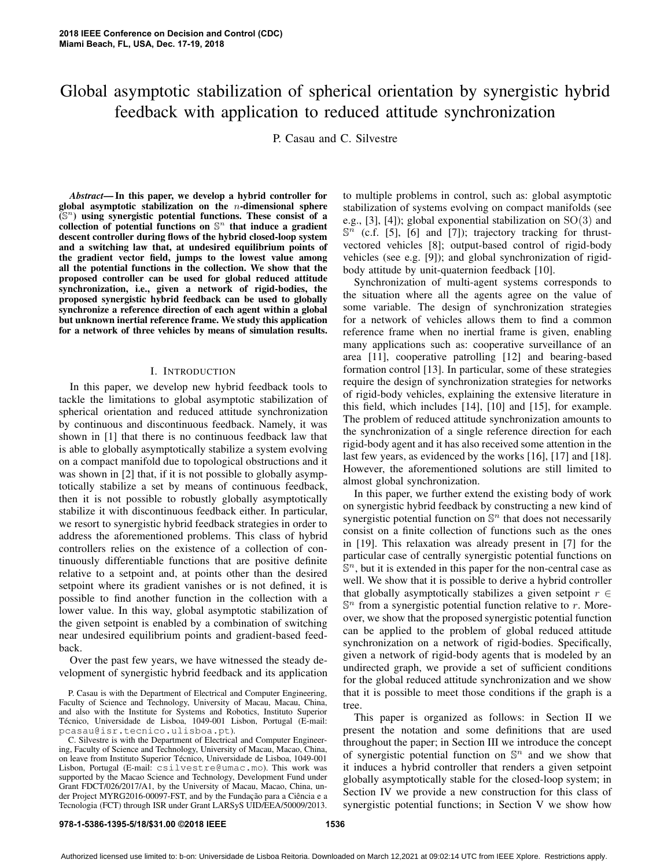# Global asymptotic stabilization of spherical orientation by synergistic hybrid feedback with application to reduced attitude synchronization

P. Casau and C. Silvestre

*Abstract*— In this paper, we develop a hybrid controller for global asymptotic stabilization on the  $n$ -dimensional sphere  $\widetilde{S}^{n}$ ) using synergistic potential functions. These consist of a collection of potential functions on  $\mathbb{S}^n$  that induce a gradient descent controller during flows of the hybrid closed-loop system and a switching law that, at undesired equilibrium points of the gradient vector field, jumps to the lowest value among all the potential functions in the collection. We show that the proposed controller can be used for global reduced attitude synchronization, i.e., given a network of rigid-bodies, the proposed synergistic hybrid feedback can be used to globally synchronize a reference direction of each agent within a global but unknown inertial reference frame. We study this application for a network of three vehicles by means of simulation results.

### I. INTRODUCTION

In this paper, we develop new hybrid feedback tools to tackle the limitations to global asymptotic stabilization of spherical orientation and reduced attitude synchronization by continuous and discontinuous feedback. Namely, it was shown in [1] that there is no continuous feedback law that is able to globally asymptotically stabilize a system evolving on a compact manifold due to topological obstructions and it was shown in [2] that, if it is not possible to globally asymptotically stabilize a set by means of continuous feedback, then it is not possible to robustly globally asymptotically stabilize it with discontinuous feedback either. In particular, we resort to synergistic hybrid feedback strategies in order to address the aforementioned problems. This class of hybrid controllers relies on the existence of a collection of continuously differentiable functions that are positive definite relative to a setpoint and, at points other than the desired setpoint where its gradient vanishes or is not defined, it is possible to find another function in the collection with a lower value. In this way, global asymptotic stabilization of the given setpoint is enabled by a combination of switching near undesired equilibrium points and gradient-based feedback.

Over the past few years, we have witnessed the steady development of synergistic hybrid feedback and its application to multiple problems in control, such as: global asymptotic stabilization of systems evolving on compact manifolds (see e.g., [3], [4]); global exponential stabilization on  $SO(3)$  and  $\mathbb{S}^n$  (c.f. [5], [6] and [7]); trajectory tracking for thrustvectored vehicles [8]; output-based control of rigid-body vehicles (see e.g. [9]); and global synchronization of rigidbody attitude by unit-quaternion feedback [10].

Synchronization of multi-agent systems corresponds to the situation where all the agents agree on the value of some variable. The design of synchronization strategies for a network of vehicles allows them to find a common reference frame when no inertial frame is given, enabling many applications such as: cooperative surveillance of an area [11], cooperative patrolling [12] and bearing-based formation control [13]. In particular, some of these strategies require the design of synchronization strategies for networks of rigid-body vehicles, explaining the extensive literature in this field, which includes [14], [10] and [15], for example. The problem of reduced attitude synchronization amounts to the synchronization of a single reference direction for each rigid-body agent and it has also received some attention in the last few years, as evidenced by the works [16], [17] and [18]. However, the aforementioned solutions are still limited to almost global synchronization.

In this paper, we further extend the existing body of work on synergistic hybrid feedback by constructing a new kind of synergistic potential function on  $\mathbb{S}^n$  that does not necessarily consist on a finite collection of functions such as the ones in [19]. This relaxation was already present in [7] for the particular case of centrally synergistic potential functions on  $\mathbb{S}^n$ , but it is extended in this paper for the non-central case as well. We show that it is possible to derive a hybrid controller that globally asymptotically stabilizes a given setpoint  $r \in$  $\mathbb{S}^n$  from a synergistic potential function relative to r. Moreover, we show that the proposed synergistic potential function can be applied to the problem of global reduced attitude synchronization on a network of rigid-bodies. Specifically, given a network of rigid-body agents that is modeled by an undirected graph, we provide a set of sufficient conditions for the global reduced attitude synchronization and we show that it is possible to meet those conditions if the graph is a tree.

This paper is organized as follows: in Section II we present the notation and some definitions that are used throughout the paper; in Section III we introduce the concept of synergistic potential function on  $\mathbb{S}^n$  and we show that it induces a hybrid controller that renders a given setpoint globally asymptotically stable for the closed-loop system; in Section IV we provide a new construction for this class of synergistic potential functions; in Section V we show how

### **978-1-5386-1395-5/18/\$31.00 ©2018 IEEE 1536**

P. Casau is with the Department of Electrical and Computer Engineering, Faculty of Science and Technology, University of Macau, Macau, China, and also with the Institute for Systems and Robotics, Instituto Superior Técnico, Universidade de Lisboa, 1049-001 Lisbon, Portugal (E-mail: pcasau@isr.tecnico.ulisboa.pt).

C. Silvestre is with the Department of Electrical and Computer Engineering, Faculty of Science and Technology, University of Macau, Macao, China, on leave from Instituto Superior Técnico, Universidade de Lisboa, 1049-001 Lisbon, Portugal (E-mail: csilvestre@umac.mo). This work was supported by the Macao Science and Technology, Development Fund under Grant FDCT/026/2017/A1, by the University of Macau, Macao, China, under Project MYRG2016-00097-FST, and by the Fundação para a Ciência e a Tecnologia (FCT) through ISR under Grant LARSyS UID/EEA/50009/2013.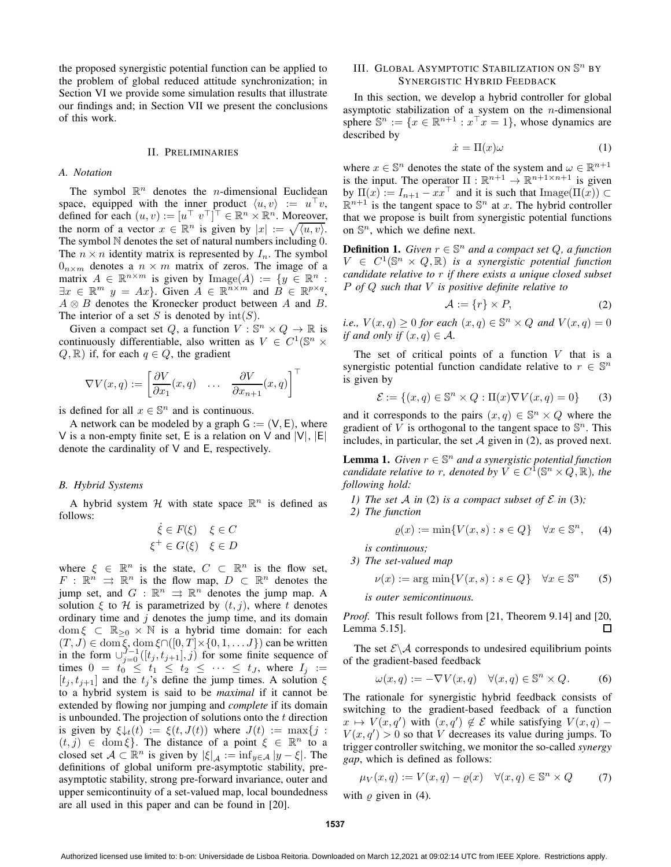the proposed synergistic potential function can be applied to the problem of global reduced attitude synchronization; in Section VI we provide some simulation results that illustrate our findings and; in Section VII we present the conclusions of this work.

### II. PRELIMINARIES

### *A. Notation*

The symbol  $\mathbb{R}^n$  denotes the *n*-dimensional Euclidean space, equipped with the inner product  $\langle u, v \rangle := u^{\top}v$ , defined for each  $(u, v) := [u^\top v^\top]^\top \in \mathbb{R}^n \times \mathbb{R}^n$ . Moreover, the norm of a vector  $x \in \mathbb{R}^n$  is given by  $|x| := \sqrt{\langle u, v \rangle}$ . The symbol  $N$  denotes the set of natural numbers including  $0$ . The  $n \times n$  identity matrix is represented by  $I_n$ . The symbol  $0_{n \times m}$  denotes a  $n \times m$  matrix of zeros. The image of a matrix  $A \in \mathbb{R}^{n \times m}$  is given by  $\text{Image}(A) := \{y \in \mathbb{R}^n :$  $\exists x \in \mathbb{R}^m$   $y = Ax$ . Given  $A \in \mathbb{R}^{n \times m}$  and  $B \in \mathbb{R}^{p \times q}$ ,  $A \otimes B$  denotes the Kronecker product between A and B. The interior of a set S is denoted by  $\text{int}(S)$ .

Given a compact set Q, a function  $V : \mathbb{S}^n \times Q \to \mathbb{R}$  is continuously differentiable, also written as  $V \in C^1(\mathbb{S}^n \times$  $Q, \mathbb{R}$ ) if, for each  $q \in Q$ , the gradient

$$
\nabla V(x,q) := \begin{bmatrix} \frac{\partial V}{\partial x_1}(x,q) & \dots & \frac{\partial V}{\partial x_{n+1}}(x,q) \end{bmatrix}^\top
$$

is defined for all  $x \in \mathbb{S}^n$  and is continuous.

A network can be modeled by a graph  $G := (V, E)$ , where V is a non-empty finite set, E is a relation on V and  $|V|$ ,  $|E|$ denote the cardinality of V and E, respectively.

### *B. Hybrid Systems*

A hybrid system  $H$  with state space  $\mathbb{R}^n$  is defined as follows:

$$
\dot{\xi} \in F(\xi) \quad \xi \in C
$$
  

$$
\xi^+ \in G(\xi) \quad \xi \in D
$$

where  $\xi \in \mathbb{R}^n$  is the state,  $C \subset \mathbb{R}^n$  is the flow set,  $F: \mathbb{R}^n \implies \mathbb{R}^n$  is the flow map,  $D \subset \mathbb{R}^n$  denotes the jump set, and  $G : \mathbb{R}^n \implies \mathbb{R}^n$  denotes the jump map. A solution  $\xi$  to  $H$  is parametrized by  $(t, j)$ , where t denotes ordinary time and  $j$  denotes the jump time, and its domain dom  $\xi \subset \mathbb{R}_{\geq 0} \times \mathbb{N}$  is a hybrid time domain: for each  $(T, J) \in \text{dom}\,\xi, \text{dom}\,\xi \cap ([0, T] \times \{0, 1, \dots J\})$  can be written in the form  $\cup_{j=0}^{J-1}([t_j, t_{j+1}], j)$  for some finite sequence of times  $0 = t_0 \leq t_1 \leq t_2 \leq \cdots \leq t_J$ , where  $I_j :=$  $[t_j, t_{j+1}]$  and the  $t_j$ 's define the jump times. A solution  $\xi$ to a hybrid system is said to be *maximal* if it cannot be extended by flowing nor jumping and *complete* if its domain is unbounded. The projection of solutions onto the  $t$  direction is given by  $\xi \downarrow_t(t) := \xi(t, J(t))$  where  $J(t) := \max\{j :$  $(t, j) \in \text{dom } \xi$ . The distance of a point  $\xi \in \mathbb{R}^n$  to a closed set  $A \subset \mathbb{R}^n$  is given by  $|\xi|_A := \inf_{y \in A} |y - \xi|$ . The definitions of global uniform pre-asymptotic stability, preasymptotic stability, strong pre-forward invariance, outer and upper semicontinuity of a set-valued map, local boundedness are all used in this paper and can be found in [20].

## III. GLOBAL ASYMPTOTIC STABILIZATION ON  $\mathbb{S}^n$  by SYNERGISTIC HYBRID FEEDBACK

In this section, we develop a hybrid controller for global asymptotic stabilization of a system on the  $n$ -dimensional sphere  $\mathbb{S}^n := \{x \in \mathbb{R}^{n+1} : x^\top x = 1\}$ , whose dynamics are described by

$$
\dot{x} = \Pi(x)\omega\tag{1}
$$

where  $x \in \mathbb{S}^n$  denotes the state of the system and  $\omega \in \mathbb{R}^{n+1}$ is the input. The operator  $\Pi : \mathbb{R}^{n+1} \to \mathbb{R}^{n+1 \times n+1}$  is given by  $\Pi(x) := I_{n+1} - xx^{\top}$  and it is such that  $\text{Image}(\Pi(x)) \subset$  $\mathbb{R}^{n+1}$  is the tangent space to  $\mathbb{S}^n$  at x. The hybrid controller that we propose is built from synergistic potential functions on  $\mathbb{S}^n$ , which we define next.

**Definition 1.** *Given*  $r \in \mathbb{S}^n$  *and a compact set*  $Q$ *, a function*  $V \in C^1(\mathbb{S}^n \times Q, \mathbb{R})$  *is a synergistic potential function candidate relative to* r *if there exists a unique closed subset* P *of* Q *such that* V *is positive definite relative to*

$$
\mathcal{A} := \{r\} \times P,\tag{2}
$$

*i.e.,*  $V(x,q) \geq 0$  *for each*  $(x,q) \in \mathbb{S}^n \times Q$  *and*  $V(x,q) = 0$ *if and only if*  $(x, q) \in \mathcal{A}$ .

The set of critical points of a function  $V$  that is a synergistic potential function candidate relative to  $r \in \mathbb{S}^n$ is given by

$$
\mathcal{E} := \{(x, q) \in \mathbb{S}^n \times Q : \Pi(x) \nabla V(x, q) = 0\}
$$
 (3)

and it corresponds to the pairs  $(x, q) \in \mathbb{S}^n \times Q$  where the gradient of  $\overline{V}$  is orthogonal to the tangent space to  $\mathbb{S}^n$ . This includes, in particular, the set  $A$  given in (2), as proved next.

**Lemma 1.** *Given*  $r \in \mathbb{S}^n$  *and a synergistic potential function candidate relative to r, denoted by*  $V \in C^{\hat{1}}(\mathbb{S}^n \times Q, \mathbb{R})$ *, the following hold:*

- *1)* The set A in (2) is a compact subset of  $\mathcal E$  in (3);
- *2) The function*

$$
\varrho(x) := \min\{V(x, s) : s \in Q\} \quad \forall x \in \mathbb{S}^n, \quad (4)
$$

*is continuous;*

*3) The set-valued map*

$$
\nu(x) := \arg\min \{ V(x, s) : s \in Q \} \quad \forall x \in \mathbb{S}^n \tag{5}
$$

*is outer semicontinuous.*

*Proof.* This result follows from [21, Theorem 9.14] and [20, Lemma 5.15]. П

The set  $\mathcal{E}\backslash\mathcal{A}$  corresponds to undesired equilibrium points of the gradient-based feedback

$$
\omega(x,q) := -\nabla V(x,q) \quad \forall (x,q) \in \mathbb{S}^n \times Q. \tag{6}
$$

The rationale for synergistic hybrid feedback consists of switching to the gradient-based feedback of a function  $x \mapsto V(x, q')$  with  $(x, q') \notin \mathcal{E}$  while satisfying  $V(x, q)$  –  $V(x, q') > 0$  so that V decreases its value during jumps. To trigger controller switching, we monitor the so-called *synergy gap*, which is defined as follows:

$$
\mu_V(x,q) := V(x,q) - \varrho(x) \quad \forall (x,q) \in \mathbb{S}^n \times Q \tag{7}
$$

with  $\rho$  given in (4).

Authorized licensed use limited to: b-on: Universidade de Lisboa Reitoria. Downloaded on March 12,2021 at 09:02:14 UTC from IEEE Xplore. Restrictions apply.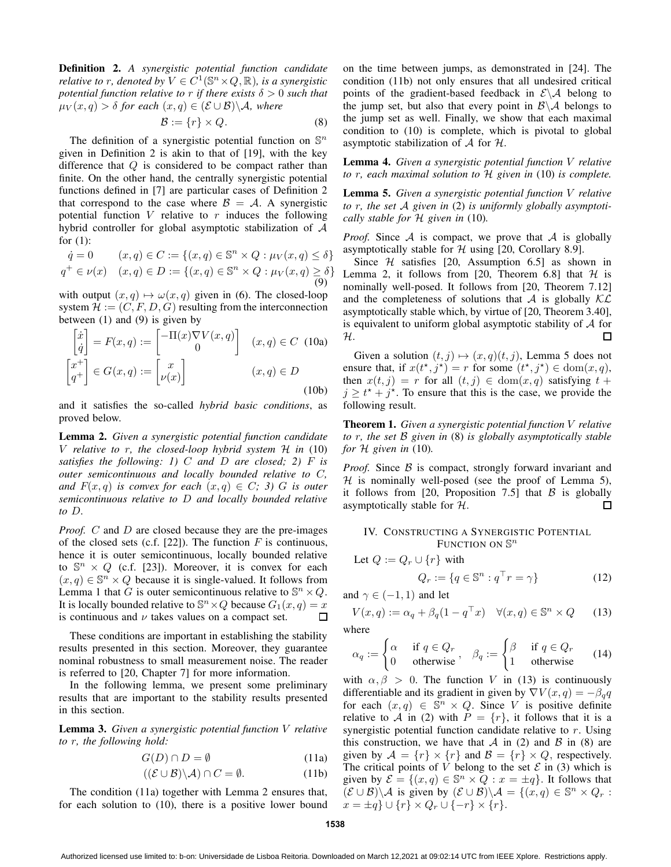Definition 2. *A synergistic potential function candidate relative to r, denoted by*  $V \in C^1(\mathbb{S}^n \times Q, \mathbb{R})$ *, is a synergistic potential function relative to* r *if there exists*  $\delta > 0$  *such that*  $\mu_V(x,q) > \delta$  for each  $(x,q) \in (\mathcal{E} \cup \mathcal{B}) \backslash \mathcal{A}$ , where

$$
\mathcal{B} := \{r\} \times Q. \tag{8}
$$

The definition of a synergistic potential function on  $\mathbb{S}^n$ given in Definition 2 is akin to that of [19], with the key difference that  $Q$  is considered to be compact rather than finite. On the other hand, the centrally synergistic potential functions defined in [7] are particular cases of Definition 2 that correspond to the case where  $\mathcal{B} = \mathcal{A}$ . A synergistic potential function  $V$  relative to  $r$  induces the following hybrid controller for global asymptotic stabilization of A for (1):

$$
\dot{q} = 0 \qquad (x, q) \in C := \{(x, q) \in \mathbb{S}^n \times Q : \mu_V(x, q) \le \delta\}
$$

$$
q^+ \in \nu(x) \quad (x, q) \in D := \{(x, q) \in \mathbb{S}^n \times Q : \mu_V(x, q) \ge \delta\}
$$

$$
(9)
$$

with output  $(x, q) \mapsto \omega(x, q)$  given in (6). The closed-loop system  $\mathcal{H} := (C, F, D, G)$  resulting from the interconnection between (1) and (9) is given by

$$
\begin{bmatrix} \dot{x} \\ \dot{q} \end{bmatrix} = F(x, q) := \begin{bmatrix} -\Pi(x)\nabla V(x, q) \\ 0 \end{bmatrix} \quad (x, q) \in C \text{ (10a)}
$$

$$
\begin{bmatrix} x^+ \\ q^+ \end{bmatrix} \in G(x, q) := \begin{bmatrix} x \\ \nu(x) \end{bmatrix} \qquad (x, q) \in D \tag{10b}
$$

and it satisfies the so-called *hybrid basic conditions*, as proved below.

Lemma 2. *Given a synergistic potential function candidate* V *relative to* r*, the closed-loop hybrid system* H *in* (10) *satisfies the following: 1)* C *and* D *are closed; 2)* F *is outer semicontinuous and locally bounded relative to* C*, and*  $F(x, q)$  *is convex for each*  $(x, q) \in C$ *; 3) G is outer semicontinuous relative to* D *and locally bounded relative to* D*.*

*Proof.* C and D are closed because they are the pre-images of the closed sets (c.f. [22]). The function  $F$  is continuous, hence it is outer semicontinuous, locally bounded relative to  $\mathbb{S}^n \times Q$  (c.f. [23]). Moreover, it is convex for each  $(x, q) \in \mathbb{S}^n \times Q$  because it is single-valued. It follows from Lemma 1 that G is outer semicontinuous relative to  $\mathbb{S}^n \times Q$ . It is locally bounded relative to  $\mathbb{S}^n \times Q$  because  $G_1(x,q) = x$ is continuous and  $\nu$  takes values on a compact set.  $\Box$ 

These conditions are important in establishing the stability results presented in this section. Moreover, they guarantee nominal robustness to small measurement noise. The reader is referred to [20, Chapter 7] for more information.

In the following lemma, we present some preliminary results that are important to the stability results presented in this section.

Lemma 3. *Given a synergistic potential function* V *relative to* r*, the following hold:*

$$
G(D) \cap D = \emptyset \tag{11a}
$$

$$
((\mathcal{E} \cup \mathcal{B}) \backslash \mathcal{A}) \cap C = \emptyset.
$$
 (11b)

The condition (11a) together with Lemma 2 ensures that, for each solution to (10), there is a positive lower bound on the time between jumps, as demonstrated in [24]. The condition (11b) not only ensures that all undesired critical points of the gradient-based feedback in  $\mathcal{E} \setminus \mathcal{A}$  belong to the jump set, but also that every point in  $\mathcal{B}\setminus\mathcal{A}$  belongs to the jump set as well. Finally, we show that each maximal condition to (10) is complete, which is pivotal to global asymptotic stabilization of  $A$  for  $H$ .

Lemma 4. *Given a synergistic potential function* V *relative to* r*, each maximal solution to* H *given in* (10) *is complete.*

Lemma 5. *Given a synergistic potential function* V *relative to* r*, the set* A *given in* (2) *is uniformly globally asymptotically stable for* H *given in* (10)*.*

*Proof.* Since  $A$  is compact, we prove that  $A$  is globally asymptotically stable for  $H$  using [20, Corollary 8.9].

Since  $H$  satisfies [20, Assumption 6.5] as shown in Lemma 2, it follows from [20, Theorem 6.8] that  $H$  is nominally well-posed. It follows from [20, Theorem 7.12] and the completeness of solutions that A is globally  $K\mathcal{L}$ asymptotically stable which, by virtue of [20, Theorem 3.40], is equivalent to uniform global asymptotic stability of  $A$  for H.  $\Box$ 

Given a solution  $(t, j) \mapsto (x, q)(t, j)$ , Lemma 5 does not ensure that, if  $x(t^*, j^*) = r$  for some  $(t^*, j^*) \in \text{dom}(x, q)$ , then  $x(t, j) = r$  for all  $(t, j) \in \text{dom}(x, q)$  satisfying  $t +$  $j \geq t^* + j^*$ . To ensure that this is the case, we provide the following result.

Theorem 1. *Given a synergistic potential function* V *relative to* r*, the set* B *given in* (8) *is globally asymptotically stable for* H *given in* (10)*.*

*Proof.* Since B is compact, strongly forward invariant and  $H$  is nominally well-posed (see the proof of Lemma 5), it follows from [20, Proposition 7.5] that  $\beta$  is globally asymptotically stable for  $H$ .  $\Box$ 

### IV. CONSTRUCTING A SYNERGISTIC POTENTIAL FUNCTION ON  $\mathbb{S}^n$

Let 
$$
Q := Q_r \cup \{r\}
$$
 with

$$
Q_r := \{ q \in \mathbb{S}^n : q^\top r = \gamma \}
$$
 (12)

and  $\gamma \in (-1, 1)$  and let

$$
V(x,q) := \alpha_q + \beta_q (1 - q^\top x) \quad \forall (x,q) \in \mathbb{S}^n \times Q \tag{13}
$$
  
where

where

$$
\alpha_q := \begin{cases} \alpha & \text{if } q \in Q_r \\ 0 & \text{otherwise} \end{cases}, \quad \beta_q := \begin{cases} \beta & \text{if } q \in Q_r \\ 1 & \text{otherwise} \end{cases} \tag{14}
$$

with  $\alpha, \beta > 0$ . The function V in (13) is continuously differentiable and its gradient in given by  $\nabla V(x,q) = -\beta_q q$ for each  $(x, q) \in \mathbb{S}^n \times Q$ . Since V is positive definite relative to A in (2) with  $P = \{r\}$ , it follows that it is a synergistic potential function candidate relative to  $r$ . Using this construction, we have that A in (2) and B in (8) are given by  $A = \{r\} \times \{r\}$  and  $B = \{r\} \times Q$ , respectively. The critical points of  $\overline{V}$  belong to the set  $\mathcal E$  in (3) which is given by  $\mathcal{E} = \{(x, q) \in \mathbb{S}^n \times \mathbb{Q} : x = \pm q\}$ . It follows that  $(\mathcal{E} \cup \mathcal{B}) \setminus \mathcal{A}$  is given by  $(\mathcal{E} \cup \mathcal{B}) \setminus \mathcal{A} = \{(x, q) \in \mathbb{S}^n \times Q_r$ :  $x = \pm q$   $\cup$  { $r$ }  $\times$   $Q_r$   $\cup$  { $-r$ }  $\times$  { $r$ }.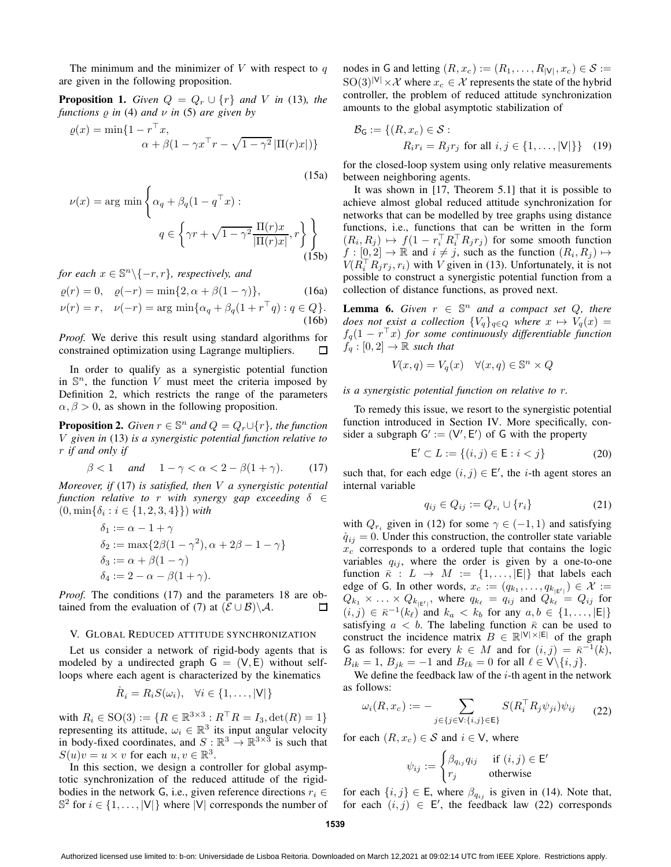The minimum and the minimizer of  $V$  with respect to  $q$ are given in the following proposition.

**Proposition 1.** *Given*  $Q = Q_r \cup \{r\}$  *and V in* (13)*, the functions* ̺ *in* (4) *and* ν *in* (5) *are given by*

$$
\varrho(x) = \min\{1 - r^\top x, \alpha + \beta(1 - \gamma x^\top r - \sqrt{1 - \gamma^2} |\Pi(r)x|)\}
$$

(15a)

$$
\nu(x) = \arg \min \left\{ \alpha_q + \beta_q (1 - q^\top x) : \right.
$$

$$
q \in \left\{ \gamma r + \sqrt{1 - \gamma^2} \frac{\Pi(r)x}{|\Pi(r)x|}, r \right\} \right\}
$$
(15b)

*for each*  $x \in \mathbb{S}^n \backslash \{-r, r\}$ *, respectively, and* 

$$
\varrho(r) = 0, \quad \varrho(-r) = \min\{2, \alpha + \beta(1 - \gamma)\},
$$
\n(16a)

$$
\nu(r) = r, \quad \nu(-r) = \arg\min\{\alpha_q + \beta_q(1 + r^\top q) : q \in Q\}.
$$
\n(16b)

*Proof.* We derive this result using standard algorithms for constrained optimization using Lagrange multipliers.  $\Box$ 

In order to qualify as a synergistic potential function in  $\mathbb{S}^n$ , the function V must meet the criteria imposed by Definition 2, which restricts the range of the parameters  $\alpha, \beta > 0$ , as shown in the following proposition.

**Proposition 2.** *Given*  $r \in \mathbb{S}^n$  *and*  $Q = Q_r \cup \{r\}$ *, the function* V *given in* (13) *is a synergistic potential function relative to* r *if and only if*

$$
\beta < 1 \quad \text{and} \quad 1 - \gamma < \alpha < 2 - \beta(1 + \gamma). \tag{17}
$$

*Moreover, if* (17) *is satisfied, then* V *a synergistic potential function relative to* r *with synergy gap exceeding* δ ∈  $(0, \min{\delta_i : i \in \{1, 2, 3, 4\}})$  *with* 

$$
\delta_1 := \alpha - 1 + \gamma
$$
  
\n
$$
\delta_2 := \max\{2\beta(1 - \gamma^2), \alpha + 2\beta - 1 - \gamma\}
$$
  
\n
$$
\delta_3 := \alpha + \beta(1 - \gamma)
$$
  
\n
$$
\delta_4 := 2 - \alpha - \beta(1 + \gamma).
$$

*Proof.* The conditions (17) and the parameters 18 are obtained from the evaluation of (7) at  $(\mathcal{E} \cup \mathcal{B}) \backslash \mathcal{A}$ .  $\Box$ 

### V. GLOBAL REDUCED ATTITUDE SYNCHRONIZATION

Let us consider a network of rigid-body agents that is modeled by a undirected graph  $G = (V, E)$  without selfloops where each agent is characterized by the kinematics

$$
\dot{R}_i = R_i S(\omega_i), \quad \forall i \in \{1, \dots, |\mathsf{V}|\}
$$

with  $R_i \in SO(3) := \{ R \in \mathbb{R}^{3 \times 3} : R^{\top}R = I_3, \det(R) = 1 \}$ representing its attitude,  $\omega_i \in \mathbb{R}^3$  its input angular velocity in body-fixed coordinates, and  $S : \mathbb{R}^3 \to \mathbb{R}^{3 \times 3}$  is such that  $S(u)v = u \times v$  for each  $u, v \in \mathbb{R}^3$ .

In this section, we design a controller for global asymptotic synchronization of the reduced attitude of the rigidbodies in the network G, i.e., given reference directions  $r_i \in$  $\mathbb{S}^2$  for  $i \in \{1, \ldots, |V|\}$  where  $|V|$  corresponds the number of

nodes in G and letting  $(R, x_c) := (R_1, \dots, R_{|V|}, x_c) \in S :=$  $\text{SO}(3)^{|\mathsf{V}|} \times \mathcal{X}$  where  $x_c \in \mathcal{X}$  represents the state of the hybrid controller, the problem of reduced attitude synchronization amounts to the global asymptotic stabilization of

$$
\mathcal{B}_{\mathsf{G}} := \{ (R, x_c) \in \mathcal{S} : R_i r_i = R_j r_j \text{ for all } i, j \in \{1, ..., |\mathsf{V}|\} \} \tag{19}
$$

for the closed-loop system using only relative measurements between neighboring agents.

It was shown in [17, Theorem 5.1] that it is possible to achieve almost global reduced attitude synchronization for networks that can be modelled by tree graphs using distance functions, i.e., functions that can be written in the form  $(R_i, R_j) \mapsto f(1 - r_i^{\top} R_i^{\top} R_j r_j)$  for some smooth function  $f : [0, 2] \to \mathbb{R}$  and  $i \neq j$ , such as the function  $(R_i, R_j) \mapsto$  $V(R_i^\top R_j r_j, r_i)$  with V given in (13). Unfortunately, it is not possible to construct a synergistic potential function from a collection of distance functions, as proved next.

**Lemma 6.** *Given*  $r \in \mathbb{S}^n$  *and a compact set*  $Q$ *, there does not exist a collection*  ${V_q}_{q \in Q}$  *where*  $x \mapsto V_q(x) =$  $f_q(1 - r^{\top}x)$  for some continuously differentiable function  $f_q:[0,2]\to\mathbb{R}$  *such that* 

$$
V(x,q) = V_q(x) \quad \forall (x,q) \in \mathbb{S}^n \times Q
$$

*is a synergistic potential function on relative to* r*.*

To remedy this issue, we resort to the synergistic potential function introduced in Section IV. More specifically, consider a subgraph  $G' := (V', E')$  of G with the property

$$
\mathsf{E}' \subset L := \{(i, j) \in \mathsf{E} : i < j\} \tag{20}
$$

such that, for each edge  $(i, j) \in E'$ , the *i*-th agent stores an internal variable

$$
q_{ij} \in Q_{ij} := Q_{r_i} \cup \{r_i\} \tag{21}
$$

with  $Q_{r_i}$  given in (12) for some  $\gamma \in (-1,1)$  and satisfying  $\dot{q}_{ij} = 0$ . Under this construction, the controller state variable  $x_c$  corresponds to a ordered tuple that contains the logic variables  $q_{ij}$ , where the order is given by a one-to-one function  $\bar{\kappa}: L \to M := \{1, \ldots, |E|\}$  that labels each edge of G. In other words,  $x_c := (q_{k_1}, \ldots, q_{k_{|\mathcal{E}'|}}) \in \mathcal{X} :=$  $Q_{k_1} \times \ldots \times Q_{k_{|\mathsf{E}'|}},$  where  $q_{k_\ell} = q_{ij}$  and  $Q_{k_\ell} = Q_{ij}$  for  $(i, j) \in \overline{\kappa}^{-1}(k_\ell)$  and  $k_a < k_b$  for any  $a, b \in \{1, \ldots, |\mathsf{E}|\}$ satisfying  $a < b$ . The labeling function  $\bar{\kappa}$  can be used to construct the incidence matrix  $B \in \mathbb{R}^{|V| \times |E|}$  of the graph G as follows: for every  $k \in M$  and for  $(i, j) = \overline{\kappa}^{-1}(\overline{k})$ ,  $B_{ik} = 1$ ,  $B_{jk} = -1$  and  $B_{\ell k} = 0$  for all  $\ell \in V \setminus \{i, j\}.$ 

We define the feedback law of the  $i$ -th agent in the network as follows:

$$
\omega_i(R, x_c) := - \sum_{j \in \{j \in \mathsf{V}: \{i,j\} \in \mathsf{E}\}} S(R_i^\top R_j \psi_{ji}) \psi_{ij} \qquad (22)
$$

for each  $(R, x_c) \in S$  and  $i \in V$ , where

$$
\psi_{ij} := \begin{cases} \beta_{q_{ij}} q_{ij} & \text{if } (i,j) \in \mathsf{E}' \\ r_j & \text{otherwise} \end{cases}
$$

for each  $\{i, j\} \in \mathsf{E}$ , where  $\beta_{q_{ij}}$  is given in (14). Note that, for each  $(i, j) \in E'$ , the feedback law (22) corresponds

Authorized licensed use limited to: b-on: Universidade de Lisboa Reitoria. Downloaded on March 12,2021 at 09:02:14 UTC from IEEE Xplore. Restrictions apply.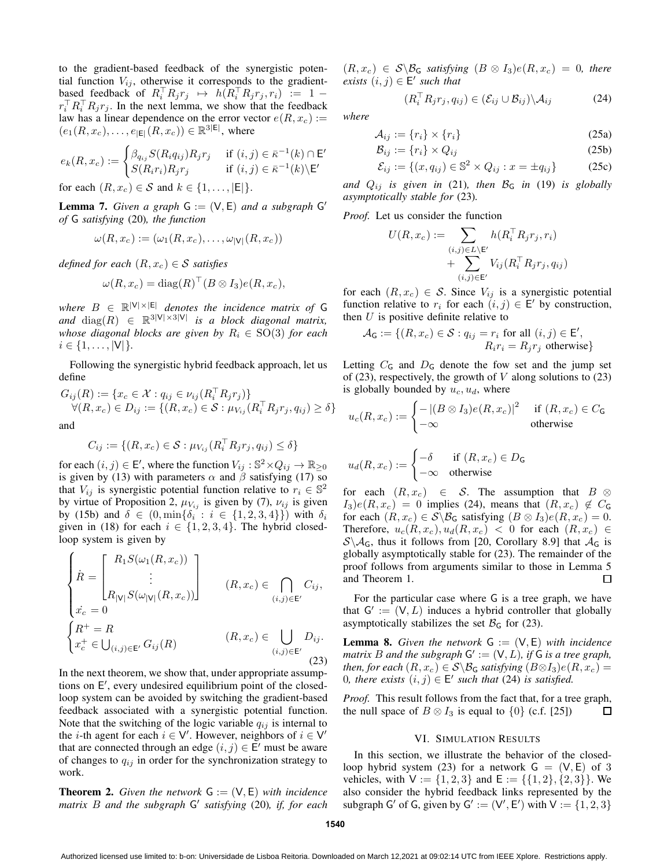to the gradient-based feedback of the synergistic potential function  $V_{ij}$ , otherwise it corresponds to the gradientbased feedback of  $R_i^\top R_j r_j \mapsto h(R_i^\top R_j r_j, r_i) := 1$  $r_i^\top R_i^\top R_j r_j$ . In the next lemma, we show that the feedback law has a linear dependence on the error vector  $e(R, x_c) :=$  $(e_1(R, x_c), \ldots, e_{|E|}(R, x_c)) \in \mathbb{R}^{3|E|}$ , where

$$
e_k(R, x_c) := \begin{cases} \beta_{q_{ij}} S(R_i q_{ij}) R_j r_j & \text{if } (i, j) \in \bar{\kappa}^{-1}(k) \cap \mathsf{E}' \\ S(R_i r_i) R_j r_j & \text{if } (i, j) \in \bar{\kappa}^{-1}(k) \backslash \mathsf{E}' \end{cases}
$$

for each  $(R, x_c) \in S$  and  $k \in \{1, \ldots, |E|\}.$ 

**Lemma 7.** *Given a graph*  $G := (V, E)$  *and a subgraph*  $G'$ *of* G *satisfying* (20)*, the function*

$$
\omega(R, x_c) := (\omega_1(R, x_c), \dots, \omega_{|V|}(R, x_c))
$$

*defined for each*  $(R, x_c) \in S$  *satisfies* 

$$
\omega(R, x_c) = \text{diag}(R)^{\top} (B \otimes I_3) e(R, x_c),
$$

 $where B \in \mathbb{R}^{|V| \times |E|}$  *denotes the incidence matrix of* G and  $diag(R) \in \mathbb{R}^{3|V| \times 3|V|}$  is a block diagonal matrix, *whose diagonal blocks are given by*  $R_i \in SO(3)$  *for each*  $i \in \{1, \ldots, |V| \}$ .

Following the synergistic hybrid feedback approach, let us define

$$
G_{ij}(R) := \{ x_c \in \mathcal{X} : q_{ij} \in \nu_{ij} (R_i^\top R_j r_j) \} \forall (R, x_c) \in D_{ij} := \{ (R, x_c) \in \mathcal{S} : \mu_{V_{ij}} (R_i^\top R_j r_j, q_{ij}) \ge \delta \}
$$

and

$$
C_{ij} := \{ (R, x_c) \in \mathcal{S} : \mu_{V_{ij}}(R_i^\top R_j r_j, q_{ij}) \le \delta \}
$$

for each  $(i, j) \in \mathsf{E}'$ , where the function  $V_{ij} : \mathbb{S}^2 \times Q_{ij} \to \mathbb{R}_{\geq 0}$ is given by (13) with parameters  $\alpha$  and  $\beta$  satisfying (17) so that  $V_{ij}$  is synergistic potential function relative to  $r_i \in \mathbb{S}^2$ by virtue of Proposition 2,  $\mu_{V_{ij}}$  is given by (7),  $\nu_{ij}$  is given by (15b) and  $\delta \in (0, \min\{\delta_i : i \in \{1, 2, 3, 4\}\})$  with  $\delta_i$ given in (18) for each  $i \in \{1, 2, 3, 4\}$ . The hybrid closedloop system is given by

$$
\begin{cases}\n\dot{R} = \begin{bmatrix}\nR_1 S(\omega_1(R, x_c)) \\
\vdots \\
R_{|\mathcal{V}|} S(\omega_{|\mathcal{V}|}(R, x_c))\n\end{bmatrix} & (R, x_c) \in \bigcap_{(i,j) \in \mathsf{E}'} C_{ij}, \\
x_c^+ = R & (R, x_c) \in \bigcup_{(i,j) \in \mathsf{E}'} D_{ij}.\n\end{cases}
$$
\n
$$
\begin{cases}\nR^+ = R & (R, x_c) \in \bigcup_{(i,j) \in \mathsf{E}'} D_{ij}.\n\end{cases}
$$
\n
$$
(23)
$$

In the next theorem, we show that, under appropriate assumptions on E ′ , every undesired equilibrium point of the closedloop system can be avoided by switching the gradient-based feedback associated with a synergistic potential function. Note that the switching of the logic variable  $q_{ij}$  is internal to the *i*-th agent for each  $i \in V'$ . However, neighbors of  $i \in V'$ that are connected through an edge  $(i, j) \in \overline{E}'$  must be aware of changes to  $q_{ij}$  in order for the synchronization strategy to work.

**Theorem 2.** *Given the network*  $G := (V, E)$  *with incidence matrix* B *and the subgraph* G ′ *satisfying* (20)*, if, for each*

 $(R, x_c) \in S \backslash \mathcal{B}_G$  *satisfying*  $(B \otimes I_3)e(R, x_c) = 0$ *, there*  $\text{exists } (i, j) \in E' \text{ such that}$ 

$$
(R_i^{\top} R_j r_j, q_{ij}) \in (\mathcal{E}_{ij} \cup \mathcal{B}_{ij}) \backslash \mathcal{A}_{ij}
$$
 (24)

*where*

$$
\mathcal{A}_{ij} := \{r_i\} \times \{r_i\} \tag{25a}
$$

$$
\mathcal{B}_{ij} := \{r_i\} \times Q_{ij} \tag{25b}
$$

$$
\mathcal{E}_{ij} := \{(x, q_{ij}) \in \mathbb{S}^2 \times Q_{ij} : x = \pm q_{ij}\}
$$
 (25c)

and  $Q_{ij}$  *is given in* (21), then  $B_G$  *in* (19) *is globally asymptotically stable for* (23)*.*

*Proof.* Let us consider the function

$$
U(R, x_c) := \sum_{\substack{(i,j)\in L\backslash E'\\ \text{+}\sum_{(i,j)\in E'}V_{ij}(R_i^\top R_jr_j, q_{ij})}} h(R_i^\top R_jr_j, q_{ij})
$$

for each  $(R, x_c) \in S$ . Since  $V_{ij}$  is a synergistic potential function relative to  $r_i$  for each  $(i, j) \in E'$  by construction, then  $U$  is positive definite relative to

$$
\mathcal{A}_{\mathsf{G}} := \{ (R, x_c) \in \mathcal{S} : q_{ij} = r_i \text{ for all } (i, j) \in \mathsf{E}',
$$
  

$$
R_i r_i = R_j r_j \text{ otherwise} \}
$$

Letting  $C_G$  and  $D_G$  denote the fow set and the jump set of (23), respectively, the growth of  $V$  along solutions to (23) is globally bounded by  $u_c$ ,  $u_d$ , where

$$
u_c(R, x_c) := \begin{cases} - |(B \otimes I_3)e(R, x_c)|^2 & \text{if } (R, x_c) \in C_{\mathsf{G}} \\ -\infty & \text{otherwise} \end{cases}
$$

$$
u_d(R, x_c) := \begin{cases} -\delta & \text{if } (R, x_c) \in D_{\mathsf{G}} \\ -\infty & \text{otherwise} \end{cases}
$$

for each  $(R, x_c) \in S$ . The assumption that  $B \otimes$  $I_3$ ) $e(R, x_c) = 0$  implies (24), means that  $(R, x_c) \notin C_G$ for each  $(R, x_c) \in S \backslash B_G$  satisfying  $(B \otimes I_3)e(R, x_c) = 0$ . Therefore,  $u_c(R, x_c)$ ,  $u_d(R, x_c)$  < 0 for each  $(R, x_c)$   $\in$  $S \setminus A_G$ , thus it follows from [20, Corollary 8.9] that  $A_G$  is globally asymptotically stable for (23). The remainder of the proof follows from arguments similar to those in Lemma 5 and Theorem 1.  $\Box$ 

For the particular case where G is a tree graph, we have that  $G' := (V, L)$  induces a hybrid controller that globally asymptotically stabilizes the set  $\mathcal{B}_G$  for (23).

**Lemma 8.** *Given the network*  $G := (V, E)$  *with incidence* matrix  $B$  and the subgraph  $G' := (V, L)$ , if  $G$  is a tree graph, *then, for each*  $(R, x_c) \in S \setminus B_G$  *satisfying*  $(B \otimes I_3)e(R, x_c) =$ 0, there exists  $(i, j) \in E'$  such that (24) is satisfied.

*Proof.* This result follows from the fact that, for a tree graph, the null space of  $B \otimes I_3$  is equal to  $\{0\}$  (c.f. [25])  $\Box$ 

### VI. SIMULATION RESULTS

In this section, we illustrate the behavior of the closedloop hybrid system (23) for a network  $G = (V, E)$  of 3 vehicles, with  $V := \{1, 2, 3\}$  and  $E := \{\{1, 2\}, \{2, 3\}\}\.$  We also consider the hybrid feedback links represented by the subgraph G' of G, given by G' :=  $(V', E')$  with  $V := \{1, 2, 3\}$ 

Authorized licensed use limited to: b-on: Universidade de Lisboa Reitoria. Downloaded on March 12,2021 at 09:02:14 UTC from IEEE Xplore. Restrictions apply.